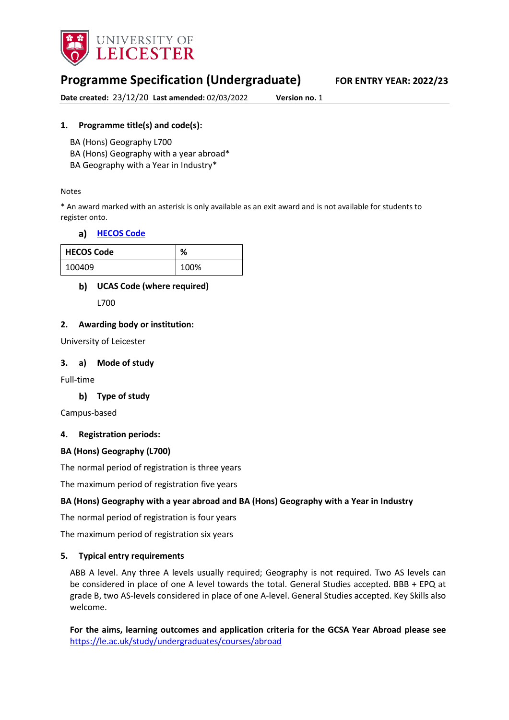

# **Programme Specification (Undergraduate) FOR ENTRY YEAR: 2022/23**

**Date created:** 23/12/20 **Last amended:** 02/03/2022 **Version no.** 1

### **1. Programme title(s) and code(s):**

BA (Hons) Geography L700

BA (Hons) Geography with a year abroad\*

BA Geography with a Year in Industry\*

#### Notes

\* An award marked with an asterisk is only available as an exit award and is not available for students to register onto.

#### **[HECOS Code](https://www.hesa.ac.uk/innovation/hecos)**

| <b>HECOS Code</b> | ℅    |
|-------------------|------|
| 100409            | 100% |

## **UCAS Code (where required)**

L700

#### **2. Awarding body or institution:**

University of Leicester

#### **3. a) Mode of study**

Full-time

#### **Type of study**

Campus-based

#### **4. Registration periods:**

#### **BA (Hons) Geography (L700)**

The normal period of registration is three years

The maximum period of registration five years

#### **BA (Hons) Geography with a year abroad and BA (Hons) Geography with a Year in Industry**

The normal period of registration is four years

The maximum period of registration six years

#### **5. Typical entry requirements**

ABB A level. Any three A levels usually required; Geography is not required. Two AS levels can be considered in place of one A level towards the total. General Studies accepted. BBB + EPQ at grade B, two AS-levels considered in place of one A-level. General Studies accepted. Key Skills also welcome.

**For the aims, learning outcomes and application criteria for the GCSA Year Abroad please see**  <https://le.ac.uk/study/undergraduates/courses/abroad>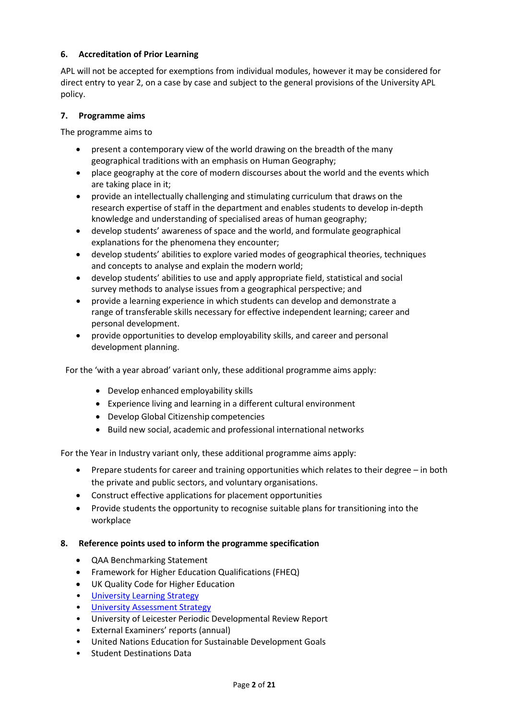### **6. Accreditation of Prior Learning**

APL will not be accepted for exemptions from individual modules, however it may be considered for direct entry to year 2, on a case by case and subject to the general provisions of the University APL policy.

### **7. Programme aims**

The programme aims to

- present a contemporary view of the world drawing on the breadth of the many geographical traditions with an emphasis on Human Geography;
- place geography at the core of modern discourses about the world and the events which are taking place in it;
- provide an intellectually challenging and stimulating curriculum that draws on the research expertise of staff in the department and enables students to develop in-depth knowledge and understanding of specialised areas of human geography;
- develop students' awareness of space and the world, and formulate geographical explanations for the phenomena they encounter;
- develop students' abilities to explore varied modes of geographical theories, techniques and concepts to analyse and explain the modern world;
- develop students' abilities to use and apply appropriate field, statistical and social survey methods to analyse issues from a geographical perspective; and
- provide a learning experience in which students can develop and demonstrate a range of transferable skills necessary for effective independent learning; career and personal development.
- provide opportunities to develop employability skills, and career and personal development planning.

For the 'with a year abroad' variant only, these additional programme aims apply:

- Develop enhanced employability skills
- Experience living and learning in a different cultural environment
- Develop Global Citizenship competencies
- Build new social, academic and professional international networks

For the Year in Industry variant only, these additional programme aims apply:

- Prepare students for career and training opportunities which relates to their degree in both the private and public sectors, and voluntary organisations.
- Construct effective applications for placement opportunities
- Provide students the opportunity to recognise suitable plans for transitioning into the workplace

#### **8. Reference points used to inform the programme specification**

- QAA Benchmarking Statement
- Framework for Higher Education Qualifications (FHEQ)
- UK Quality Code for Higher Education
- University Learnin[g Strategy](https://www2.le.ac.uk/offices/sas2/quality/learnteach)
- [University Assessment Strategy](https://www2.le.ac.uk/offices/sas2/quality/learnteach)
- University of Leicester Periodic Developmental Review Report
- External Examiners' reports (annual)
- United Nations Education for Sustainable Development Goals
- Student Destinations Data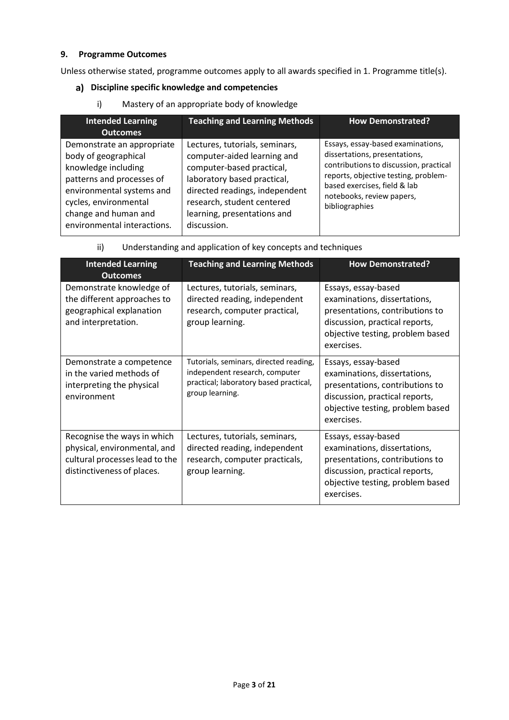## **9. Programme Outcomes**

Unless otherwise stated, programme outcomes apply to all awards specified in 1. Programme title(s).

# **Discipline specific knowledge and competencies**

i) Mastery of an appropriate body of knowledge

| <b>Intended Learning</b><br><b>Outcomes</b>                                                                                                                                                                         | <b>Teaching and Learning Methods</b>                                                                                                                                                                                                    | <b>How Demonstrated?</b>                                                                                                                                                                                                            |
|---------------------------------------------------------------------------------------------------------------------------------------------------------------------------------------------------------------------|-----------------------------------------------------------------------------------------------------------------------------------------------------------------------------------------------------------------------------------------|-------------------------------------------------------------------------------------------------------------------------------------------------------------------------------------------------------------------------------------|
| Demonstrate an appropriate<br>body of geographical<br>knowledge including<br>patterns and processes of<br>environmental systems and<br>cycles, environmental<br>change and human and<br>environmental interactions. | Lectures, tutorials, seminars,<br>computer-aided learning and<br>computer-based practical,<br>laboratory based practical,<br>directed readings, independent<br>research, student centered<br>learning, presentations and<br>discussion. | Essays, essay-based examinations,<br>dissertations, presentations,<br>contributions to discussion, practical<br>reports, objective testing, problem-<br>based exercises, field & lab<br>notebooks, review papers,<br>bibliographies |

| ii) | Understanding and application of key concepts and techniques |
|-----|--------------------------------------------------------------|
|     |                                                              |

| <b>Intended Learning</b><br><b>Outcomes</b>                                                                                 | <b>Teaching and Learning Methods</b>                                                                                                  | <b>How Demonstrated?</b>                                                                                                                                                   |
|-----------------------------------------------------------------------------------------------------------------------------|---------------------------------------------------------------------------------------------------------------------------------------|----------------------------------------------------------------------------------------------------------------------------------------------------------------------------|
| Demonstrate knowledge of<br>the different approaches to<br>geographical explanation<br>and interpretation.                  | Lectures, tutorials, seminars,<br>directed reading, independent<br>research, computer practical,<br>group learning.                   | Essays, essay-based<br>examinations, dissertations,<br>presentations, contributions to<br>discussion, practical reports,<br>objective testing, problem based<br>exercises. |
| Demonstrate a competence<br>in the varied methods of<br>interpreting the physical<br>environment                            | Tutorials, seminars, directed reading,<br>independent research, computer<br>practical; laboratory based practical,<br>group learning. | Essays, essay-based<br>examinations, dissertations,<br>presentations, contributions to<br>discussion, practical reports,<br>objective testing, problem based<br>exercises. |
| Recognise the ways in which<br>physical, environmental, and<br>cultural processes lead to the<br>distinctiveness of places. | Lectures, tutorials, seminars,<br>directed reading, independent<br>research, computer practicals,<br>group learning.                  | Essays, essay-based<br>examinations, dissertations,<br>presentations, contributions to<br>discussion, practical reports,<br>objective testing, problem based<br>exercises. |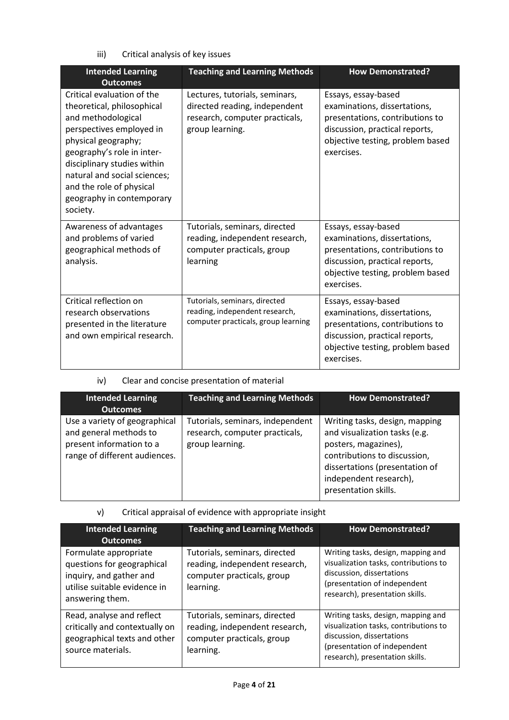iii) Critical analysis of key issues

| <b>Intended Learning</b><br><b>Outcomes</b>                                                                                                                                                                                                                                                         | <b>Teaching and Learning Methods</b>                                                                                 | <b>How Demonstrated?</b>                                                                                                                                                   |
|-----------------------------------------------------------------------------------------------------------------------------------------------------------------------------------------------------------------------------------------------------------------------------------------------------|----------------------------------------------------------------------------------------------------------------------|----------------------------------------------------------------------------------------------------------------------------------------------------------------------------|
| Critical evaluation of the<br>theoretical, philosophical<br>and methodological<br>perspectives employed in<br>physical geography;<br>geography's role in inter-<br>disciplinary studies within<br>natural and social sciences;<br>and the role of physical<br>geography in contemporary<br>society. | Lectures, tutorials, seminars,<br>directed reading, independent<br>research, computer practicals,<br>group learning. | Essays, essay-based<br>examinations, dissertations,<br>presentations, contributions to<br>discussion, practical reports,<br>objective testing, problem based<br>exercises. |
| Awareness of advantages<br>and problems of varied<br>geographical methods of<br>analysis.                                                                                                                                                                                                           | Tutorials, seminars, directed<br>reading, independent research,<br>computer practicals, group<br>learning            | Essays, essay-based<br>examinations, dissertations,<br>presentations, contributions to<br>discussion, practical reports,<br>objective testing, problem based<br>exercises. |
| Critical reflection on<br>research observations<br>presented in the literature<br>and own empirical research.                                                                                                                                                                                       | Tutorials, seminars, directed<br>reading, independent research,<br>computer practicals, group learning               | Essays, essay-based<br>examinations, dissertations,<br>presentations, contributions to<br>discussion, practical reports,<br>objective testing, problem based<br>exercises. |

# iv) Clear and concise presentation of material

| <b>Intended Learning</b><br><b>Outcomes</b>                                                                          | <b>Teaching and Learning Methods</b>                                                  | <b>How Demonstrated?</b>                                                                                                                                                                                    |
|----------------------------------------------------------------------------------------------------------------------|---------------------------------------------------------------------------------------|-------------------------------------------------------------------------------------------------------------------------------------------------------------------------------------------------------------|
| Use a variety of geographical<br>and general methods to<br>present information to a<br>range of different audiences. | Tutorials, seminars, independent<br>research, computer practicals,<br>group learning. | Writing tasks, design, mapping<br>and visualization tasks (e.g.<br>posters, magazines),<br>contributions to discussion,<br>dissertations (presentation of<br>independent research),<br>presentation skills. |

## v) Critical appraisal of evidence with appropriate insight

| <b>Intended Learning</b><br><b>Outcomes</b>                                                                                       | <b>Teaching and Learning Methods</b>                                                                       | <b>How Demonstrated?</b>                                                                                                                                                    |
|-----------------------------------------------------------------------------------------------------------------------------------|------------------------------------------------------------------------------------------------------------|-----------------------------------------------------------------------------------------------------------------------------------------------------------------------------|
| Formulate appropriate<br>questions for geographical<br>inquiry, and gather and<br>utilise suitable evidence in<br>answering them. | Tutorials, seminars, directed<br>reading, independent research,<br>computer practicals, group<br>learning. | Writing tasks, design, mapping and<br>visualization tasks, contributions to<br>discussion, dissertations<br>(presentation of independent<br>research), presentation skills. |
| Read, analyse and reflect<br>critically and contextually on<br>geographical texts and other<br>source materials.                  | Tutorials, seminars, directed<br>reading, independent research,<br>computer practicals, group<br>learning. | Writing tasks, design, mapping and<br>visualization tasks, contributions to<br>discussion, dissertations<br>(presentation of independent<br>research), presentation skills. |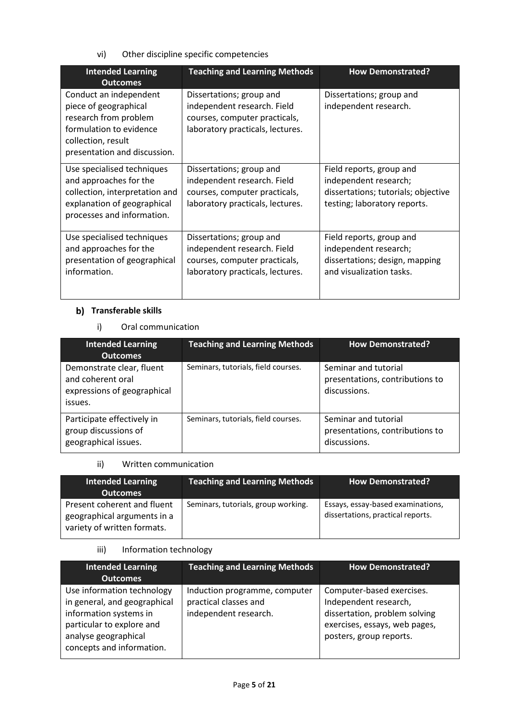vi) Other discipline specific competencies

| <b>Intended Learning</b><br>Outcomes                                                                                                                      | <b>Teaching and Learning Methods</b>                                                                                         | <b>How Demonstrated?</b>                                                                                                 |
|-----------------------------------------------------------------------------------------------------------------------------------------------------------|------------------------------------------------------------------------------------------------------------------------------|--------------------------------------------------------------------------------------------------------------------------|
| Conduct an independent<br>piece of geographical<br>research from problem<br>formulation to evidence<br>collection, result<br>presentation and discussion. | Dissertations; group and<br>independent research. Field<br>courses, computer practicals,<br>laboratory practicals, lectures. | Dissertations; group and<br>independent research.                                                                        |
| Use specialised techniques<br>and approaches for the<br>collection, interpretation and<br>explanation of geographical<br>processes and information.       | Dissertations; group and<br>independent research. Field<br>courses, computer practicals,<br>laboratory practicals, lectures. | Field reports, group and<br>independent research;<br>dissertations; tutorials; objective<br>testing; laboratory reports. |
| Use specialised techniques<br>and approaches for the<br>presentation of geographical<br>information.                                                      | Dissertations; group and<br>independent research. Field<br>courses, computer practicals,<br>laboratory practicals, lectures. | Field reports, group and<br>independent research;<br>dissertations; design, mapping<br>and visualization tasks.          |

# **b)** Transferable skills

i) Oral communication

| <b>Intended Learning</b>                                                                                    | <b>Teaching and Learning Methods</b> | <b>How Demonstrated?</b>                                                |
|-------------------------------------------------------------------------------------------------------------|--------------------------------------|-------------------------------------------------------------------------|
| <b>Outcomes</b><br>Demonstrate clear, fluent<br>and coherent oral<br>expressions of geographical<br>issues. | Seminars, tutorials, field courses.  | Seminar and tutorial<br>presentations, contributions to<br>discussions. |
| Participate effectively in<br>group discussions of<br>geographical issues.                                  | Seminars, tutorials, field courses.  | Seminar and tutorial<br>presentations, contributions to<br>discussions. |

# ii) Written communication

| <b>Intended Learning</b><br><b>Outcomes</b>                                               | <b>Teaching and Learning Methods</b> | <b>How Demonstrated?</b>                                               |
|-------------------------------------------------------------------------------------------|--------------------------------------|------------------------------------------------------------------------|
| Present coherent and fluent<br>geographical arguments in a<br>variety of written formats. | Seminars, tutorials, group working.  | Essays, essay-based examinations,<br>dissertations, practical reports. |

## iii) Information technology

| <b>Outcomes</b>                                                                                                                                                                                                                                                                                                                                                                                              |  |
|--------------------------------------------------------------------------------------------------------------------------------------------------------------------------------------------------------------------------------------------------------------------------------------------------------------------------------------------------------------------------------------------------------------|--|
|                                                                                                                                                                                                                                                                                                                                                                                                              |  |
| Use information technology<br>Computer-based exercises.<br>Induction programme, computer<br>in general, and geographical<br>practical classes and<br>Independent research,<br>information systems in<br>dissertation, problem solving<br>independent research.<br>particular to explore and<br>exercises, essays, web pages,<br>analyse geographical<br>posters, group reports.<br>concepts and information. |  |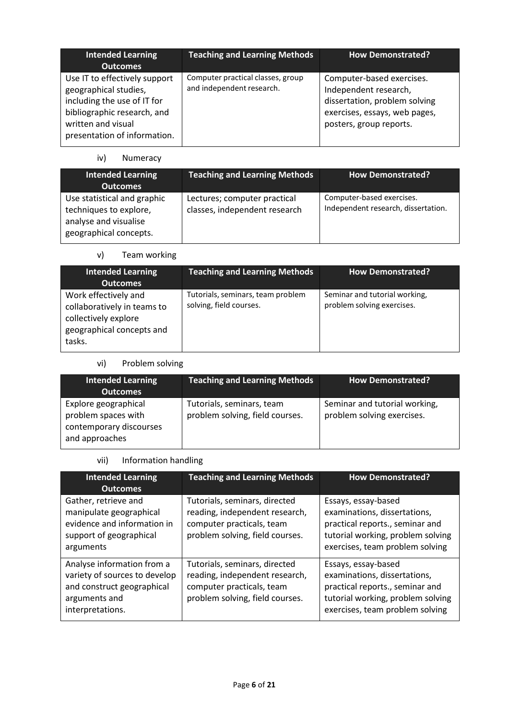| <b>Intended Learning</b><br><b>Outcomes</b>                                                                                                                                | <b>Teaching and Learning Methods</b>                           | <b>How Demonstrated?</b>                                                                                                                        |
|----------------------------------------------------------------------------------------------------------------------------------------------------------------------------|----------------------------------------------------------------|-------------------------------------------------------------------------------------------------------------------------------------------------|
| Use IT to effectively support<br>geographical studies,<br>including the use of IT for<br>bibliographic research, and<br>written and visual<br>presentation of information. | Computer practical classes, group<br>and independent research. | Computer-based exercises.<br>Independent research,<br>dissertation, problem solving<br>exercises, essays, web pages,<br>posters, group reports. |

# iv) Numeracy

| <b>Intended Learning</b><br><b>Outcomes</b>                                                              | <b>Teaching and Learning Methods</b>                          | <b>How Demonstrated?</b>                                         |
|----------------------------------------------------------------------------------------------------------|---------------------------------------------------------------|------------------------------------------------------------------|
| Use statistical and graphic<br>techniques to explore,<br>analyse and visualise<br>geographical concepts. | Lectures; computer practical<br>classes, independent research | Computer-based exercises.<br>Independent research, dissertation. |

# v) Team working

| <b>Intended Learning</b><br><b>Outcomes</b>                                                                        | <b>Teaching and Learning Methods</b>                         | <b>How Demonstrated?</b>                                    |
|--------------------------------------------------------------------------------------------------------------------|--------------------------------------------------------------|-------------------------------------------------------------|
| Work effectively and<br>collaboratively in teams to<br>collectively explore<br>geographical concepts and<br>tasks. | Tutorials, seminars, team problem<br>solving, field courses. | Seminar and tutorial working,<br>problem solving exercises. |

# vi) Problem solving

| <b>Intended Learning</b><br><b>Outcomes</b>                                              | Teaching and Learning Methods                                | <b>How Demonstrated?</b>                                    |
|------------------------------------------------------------------------------------------|--------------------------------------------------------------|-------------------------------------------------------------|
| Explore geographical<br>problem spaces with<br>contemporary discourses<br>and approaches | Tutorials, seminars, team<br>problem solving, field courses. | Seminar and tutorial working,<br>problem solving exercises. |

# vii) Information handling

| <b>Intended Learning</b><br><b>Outcomes</b>                                                                                    | <b>Teaching and Learning Methods</b>                                                                                                                                                                                                                                                              | <b>How Demonstrated?</b>                                                                                                                                       |
|--------------------------------------------------------------------------------------------------------------------------------|---------------------------------------------------------------------------------------------------------------------------------------------------------------------------------------------------------------------------------------------------------------------------------------------------|----------------------------------------------------------------------------------------------------------------------------------------------------------------|
| Gather, retrieve and<br>manipulate geographical<br>evidence and information in<br>support of geographical<br>arguments         | Tutorials, seminars, directed<br>Essays, essay-based<br>reading, independent research,<br>examinations, dissertations,<br>practical reports., seminar and<br>computer practicals, team<br>problem solving, field courses.<br>tutorial working, problem solving<br>exercises, team problem solving |                                                                                                                                                                |
| Analyse information from a<br>variety of sources to develop<br>and construct geographical<br>arguments and<br>interpretations. | Tutorials, seminars, directed<br>reading, independent research,<br>computer practicals, team<br>problem solving, field courses.                                                                                                                                                                   | Essays, essay-based<br>examinations, dissertations,<br>practical reports., seminar and<br>tutorial working, problem solving<br>exercises, team problem solving |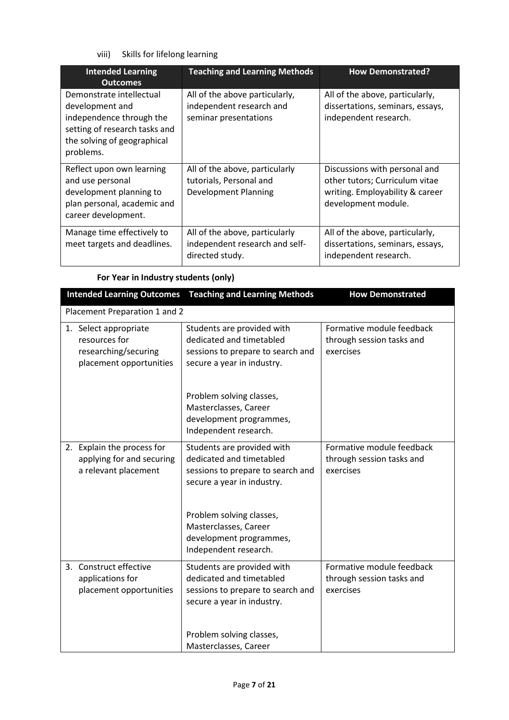viii) Skills for lifelong learning

| <b>Intended Learning</b><br><b>Outcomes</b>                                                                                                          | <b>Teaching and Learning Methods</b>                                                     | <b>How Demonstrated?</b>                                                                                                  |
|------------------------------------------------------------------------------------------------------------------------------------------------------|------------------------------------------------------------------------------------------|---------------------------------------------------------------------------------------------------------------------------|
| Demonstrate intellectual<br>development and<br>independence through the<br>setting of research tasks and<br>the solving of geographical<br>problems. | All of the above particularly,<br>independent research and<br>seminar presentations      | All of the above, particularly,<br>dissertations, seminars, essays,<br>independent research.                              |
| Reflect upon own learning<br>and use personal<br>development planning to<br>plan personal, academic and<br>career development.                       | All of the above, particularly<br>tutorials, Personal and<br><b>Development Planning</b> | Discussions with personal and<br>other tutors; Curriculum vitae<br>writing. Employability & career<br>development module. |
| Manage time effectively to<br>meet targets and deadlines.                                                                                            | All of the above, particularly<br>independent research and self-<br>directed study.      | All of the above, particularly,<br>dissertations, seminars, essays,<br>independent research.                              |

# **For Year in Industry students (only)**

| <b>Intended Learning Outcomes</b>                                                         | <b>Teaching and Learning Methods</b>                                                                                      | <b>How Demonstrated</b>                                             |  |  |
|-------------------------------------------------------------------------------------------|---------------------------------------------------------------------------------------------------------------------------|---------------------------------------------------------------------|--|--|
| Placement Preparation 1 and 2                                                             |                                                                                                                           |                                                                     |  |  |
| 1. Select appropriate<br>resources for<br>researching/securing<br>placement opportunities | Students are provided with<br>dedicated and timetabled<br>sessions to prepare to search and<br>secure a year in industry. | Formative module feedback<br>through session tasks and<br>exercises |  |  |
|                                                                                           | Problem solving classes,<br>Masterclasses, Career<br>development programmes,<br>Independent research.                     |                                                                     |  |  |
| 2. Explain the process for<br>applying for and securing<br>a relevant placement           | Students are provided with<br>dedicated and timetabled<br>sessions to prepare to search and<br>secure a year in industry. | Formative module feedback<br>through session tasks and<br>exercises |  |  |
|                                                                                           | Problem solving classes,<br>Masterclasses, Career<br>development programmes,<br>Independent research.                     |                                                                     |  |  |
| 3. Construct effective<br>applications for<br>placement opportunities                     | Students are provided with<br>dedicated and timetabled<br>sessions to prepare to search and<br>secure a year in industry. | Formative module feedback<br>through session tasks and<br>exercises |  |  |
|                                                                                           | Problem solving classes,<br>Masterclasses, Career                                                                         |                                                                     |  |  |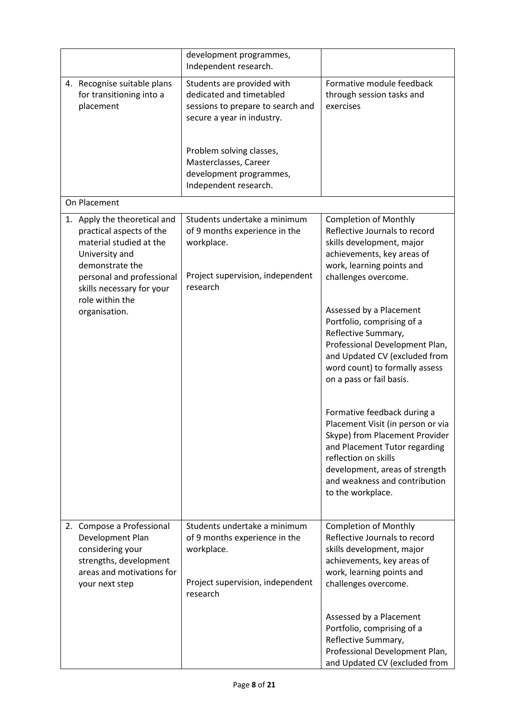|                                                                                                                                                                                    | development programmes,<br>Independent research.                                                                                                                                                                                   |                                                                                                                                                                                                                                                     |
|------------------------------------------------------------------------------------------------------------------------------------------------------------------------------------|------------------------------------------------------------------------------------------------------------------------------------------------------------------------------------------------------------------------------------|-----------------------------------------------------------------------------------------------------------------------------------------------------------------------------------------------------------------------------------------------------|
| 4. Recognise suitable plans<br>for transitioning into a<br>placement                                                                                                               | Students are provided with<br>dedicated and timetabled<br>sessions to prepare to search and<br>secure a year in industry.<br>Problem solving classes,<br>Masterclasses, Career<br>development programmes,<br>Independent research. | Formative module feedback<br>through session tasks and<br>exercises                                                                                                                                                                                 |
| On Placement                                                                                                                                                                       |                                                                                                                                                                                                                                    |                                                                                                                                                                                                                                                     |
| 1. Apply the theoretical and<br>practical aspects of the<br>material studied at the<br>University and<br>demonstrate the<br>personal and professional<br>skills necessary for your | Students undertake a minimum<br>of 9 months experience in the<br>workplace.<br>Project supervision, independent<br>research                                                                                                        | <b>Completion of Monthly</b><br>Reflective Journals to record<br>skills development, major<br>achievements, key areas of<br>work, learning points and<br>challenges overcome.                                                                       |
| role within the<br>organisation.                                                                                                                                                   |                                                                                                                                                                                                                                    | Assessed by a Placement<br>Portfolio, comprising of a<br>Reflective Summary,<br>Professional Development Plan,<br>and Updated CV (excluded from<br>word count) to formally assess<br>on a pass or fail basis.                                       |
|                                                                                                                                                                                    |                                                                                                                                                                                                                                    | Formative feedback during a<br>Placement Visit (in person or via<br>Skype) from Placement Provider<br>and Placement Tutor regarding<br>reflection on skills<br>development, areas of strength<br>and weakness and contribution<br>to the workplace. |
| 2. Compose a Professional<br>Development Plan<br>considering your<br>strengths, development<br>areas and motivations for<br>your next step                                         | Students undertake a minimum<br>of 9 months experience in the<br>workplace.<br>Project supervision, independent<br>research                                                                                                        | <b>Completion of Monthly</b><br>Reflective Journals to record<br>skills development, major<br>achievements, key areas of<br>work, learning points and<br>challenges overcome.                                                                       |
|                                                                                                                                                                                    |                                                                                                                                                                                                                                    | Assessed by a Placement<br>Portfolio, comprising of a<br>Reflective Summary,<br>Professional Development Plan,<br>and Updated CV (excluded from                                                                                                     |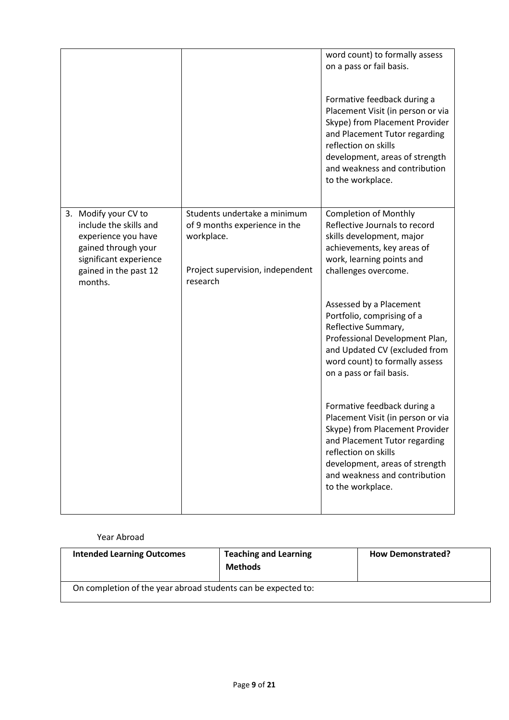|                                                                                                                                                            |                                                                                                                             | word count) to formally assess<br>on a pass or fail basis.<br>Formative feedback during a<br>Placement Visit (in person or via<br>Skype) from Placement Provider<br>and Placement Tutor regarding<br>reflection on skills<br>development, areas of strength<br>and weakness and contribution<br>to the workplace. |
|------------------------------------------------------------------------------------------------------------------------------------------------------------|-----------------------------------------------------------------------------------------------------------------------------|-------------------------------------------------------------------------------------------------------------------------------------------------------------------------------------------------------------------------------------------------------------------------------------------------------------------|
| 3. Modify your CV to<br>include the skills and<br>experience you have<br>gained through your<br>significant experience<br>gained in the past 12<br>months. | Students undertake a minimum<br>of 9 months experience in the<br>workplace.<br>Project supervision, independent<br>research | <b>Completion of Monthly</b><br>Reflective Journals to record<br>skills development, major<br>achievements, key areas of<br>work, learning points and<br>challenges overcome.                                                                                                                                     |
|                                                                                                                                                            |                                                                                                                             | Assessed by a Placement<br>Portfolio, comprising of a<br>Reflective Summary,<br>Professional Development Plan,<br>and Updated CV (excluded from<br>word count) to formally assess<br>on a pass or fail basis.                                                                                                     |
|                                                                                                                                                            |                                                                                                                             | Formative feedback during a<br>Placement Visit (in person or via<br>Skype) from Placement Provider<br>and Placement Tutor regarding<br>reflection on skills<br>development, areas of strength<br>and weakness and contribution<br>to the workplace.                                                               |

### Year Abroad

| <b>Intended Learning Outcomes</b>                             | <b>Teaching and Learning</b><br><b>Methods</b> | <b>How Demonstrated?</b> |
|---------------------------------------------------------------|------------------------------------------------|--------------------------|
| On completion of the year abroad students can be expected to: |                                                |                          |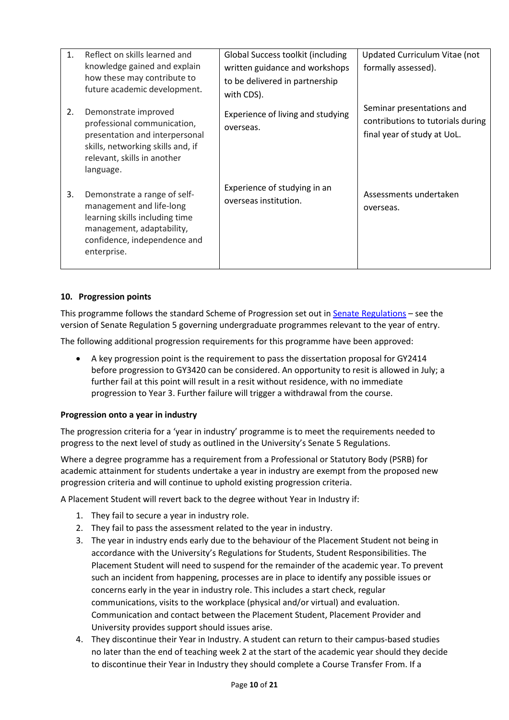| 1 <sup>1</sup> | Reflect on skills learned and<br>knowledge gained and explain<br>how these may contribute to<br>future academic development.                                           | Global Success toolkit (including<br>written guidance and workshops<br>to be delivered in partnership<br>with CDS). | Updated Curriculum Vitae (not<br>formally assessed).                                          |
|----------------|------------------------------------------------------------------------------------------------------------------------------------------------------------------------|---------------------------------------------------------------------------------------------------------------------|-----------------------------------------------------------------------------------------------|
| 2.             | Demonstrate improved<br>professional communication,<br>presentation and interpersonal<br>skills, networking skills and, if<br>relevant, skills in another<br>language. | Experience of living and studying<br>overseas.                                                                      | Seminar presentations and<br>contributions to tutorials during<br>final year of study at UoL. |
| 3.             | Demonstrate a range of self-<br>management and life-long<br>learning skills including time<br>management, adaptability,<br>confidence, independence and<br>enterprise. | Experience of studying in an<br>overseas institution.                                                               | Assessments undertaken<br>overseas.                                                           |

## **10. Progression points**

This programme follows the standard Scheme of Progression set out i[n Senate Regulations](http://www.le.ac.uk/senate-regulations) – see the version of Senate Regulation 5 governing undergraduate programmes relevant to the year of entry.

The following additional progression requirements for this programme have been approved:

• A key progression point is the requirement to pass the dissertation proposal for GY2414 before progression to GY3420 can be considered. An opportunity to resit is allowed in July; a further fail at this point will result in a resit without residence, with no immediate progression to Year 3. Further failure will trigger a withdrawal from the course.

## **Progression onto a year in industry**

The progression criteria for a 'year in industry' programme is to meet the requirements needed to progress to the next level of study as outlined in the University's Senate 5 Regulations.

Where a degree programme has a requirement from a Professional or Statutory Body (PSRB) for academic attainment for students undertake a year in industry are exempt from the proposed new progression criteria and will continue to uphold existing progression criteria.

A Placement Student will revert back to the degree without Year in Industry if:

- 1. They fail to secure a year in industry role.
- 2. They fail to pass the assessment related to the year in industry.
- 3. The year in industry ends early due to the behaviour of the Placement Student not being in accordance with the University's Regulations for Students, Student Responsibilities. The Placement Student will need to suspend for the remainder of the academic year. To prevent such an incident from happening, processes are in place to identify any possible issues or concerns early in the year in industry role. This includes a start check, regular communications, visits to the workplace (physical and/or virtual) and evaluation. Communication and contact between the Placement Student, Placement Provider and University provides support should issues arise.
- 4. They discontinue their Year in Industry. A student can return to their campus-based studies no later than the end of teaching week 2 at the start of the academic year should they decide to discontinue their Year in Industry they should complete a Course Transfer From. If a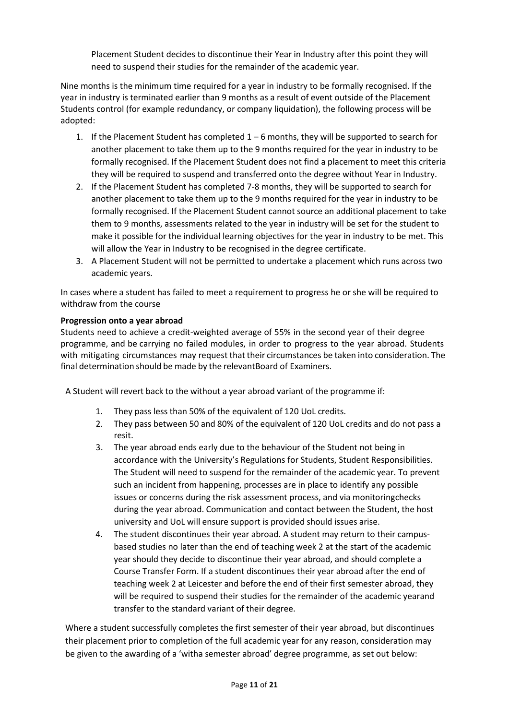Placement Student decides to discontinue their Year in Industry after this point they will need to suspend their studies for the remainder of the academic year.

Nine months is the minimum time required for a year in industry to be formally recognised. If the year in industry is terminated earlier than 9 months as a result of event outside of the Placement Students control (for example redundancy, or company liquidation), the following process will be adopted:

- 1. If the Placement Student has completed  $1 6$  months, they will be supported to search for another placement to take them up to the 9 months required for the year in industry to be formally recognised. If the Placement Student does not find a placement to meet this criteria they will be required to suspend and transferred onto the degree without Year in Industry.
- 2. If the Placement Student has completed 7-8 months, they will be supported to search for another placement to take them up to the 9 months required for the year in industry to be formally recognised. If the Placement Student cannot source an additional placement to take them to 9 months, assessments related to the year in industry will be set for the student to make it possible for the individual learning objectives for the year in industry to be met. This will allow the Year in Industry to be recognised in the degree certificate.
- 3. A Placement Student will not be permitted to undertake a placement which runs across two academic years.

In cases where a student has failed to meet a requirement to progress he or she will be required to withdraw from the course

### **Progression onto a year abroad**

Students need to achieve a credit-weighted average of 55% in the second year of their degree programme, and be carrying no failed modules, in order to progress to the year abroad. Students with mitigating circumstances may request that their circumstances be taken into consideration. The final determination should be made by the relevantBoard of Examiners.

A Student will revert back to the without a year abroad variant of the programme if:

- 1. They pass less than 50% of the equivalent of 120 UoL credits.
- 2. They pass between 50 and 80% of the equivalent of 120 UoL credits and do not pass a resit.
- 3. The year abroad ends early due to the behaviour of the Student not being in accordance with the University's Regulations for Students, Student Responsibilities. The Student will need to suspend for the remainder of the academic year. To prevent such an incident from happening, processes are in place to identify any possible issues or concerns during the risk assessment process, and via monitoringchecks during the year abroad. Communication and contact between the Student, the host university and UoL will ensure support is provided should issues arise.
- 4. The student discontinues their year abroad. A student may return to their campusbased studies no later than the end of teaching week 2 at the start of the academic year should they decide to discontinue their year abroad, and should complete a Course Transfer Form. If a student discontinues their year abroad after the end of teaching week 2 at Leicester and before the end of their first semester abroad, they will be required to suspend their studies for the remainder of the academic yearand transfer to the standard variant of their degree.

Where a student successfully completes the first semester of their year abroad, but discontinues their placement prior to completion of the full academic year for any reason, consideration may be given to the awarding of a 'witha semester abroad' degree programme, as set out below: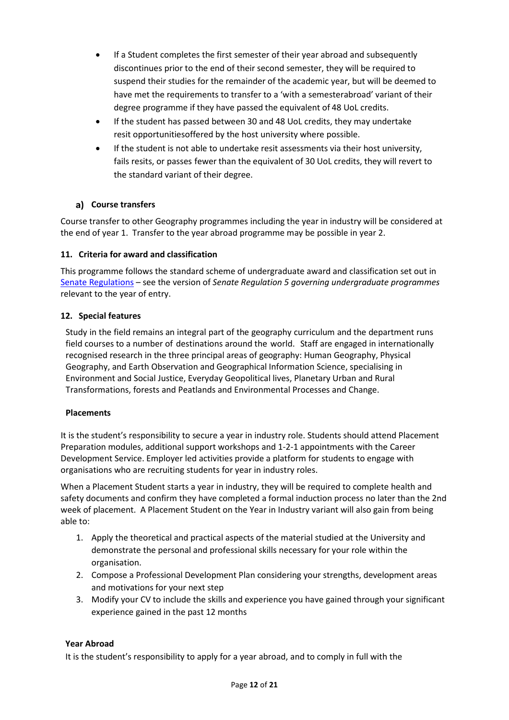- If a Student completes the first semester of their year abroad and subsequently discontinues prior to the end of their second semester, they will be required to suspend their studies for the remainder of the academic year, but will be deemed to have met the requirements to transfer to a 'with a semesterabroad' variant of their degree programme if they have passed the equivalent of 48 UoL credits.
- If the student has passed between 30 and 48 UoL credits, they may undertake resit opportunitiesoffered by the host university where possible.
- If the student is not able to undertake resit assessments via their host university, fails resits, or passes fewer than the equivalent of 30 UoL credits, they will revert to the standard variant of their degree.

# **Course transfers**

Course transfer to other Geography programmes including the year in industry will be considered at the end of year 1. Transfer to the year abroad programme may be possible in year 2.

## **11. Criteria for award and classification**

This programme follows the standard scheme of undergraduate award and classification set out in [Senate Regulations](http://www.le.ac.uk/senate-regulations) – see the version of *Senate Regulation 5 governing undergraduate programmes* relevant to the year of entry.

### **12. Special features**

Study in the field remains an integral part of the geography curriculum and the department runs field courses to a number of destinations around the world. Staff are engaged in internationally recognised research in the three principal areas of geography: Human Geography, Physical Geography, and Earth Observation and Geographical Information Science, specialising in Environment and Social Justice, Everyday Geopolitical lives, Planetary Urban and Rural Transformations, forests and Peatlands and Environmental Processes and Change.

#### **Placements**

It is the student's responsibility to secure a year in industry role. Students should attend Placement Preparation modules, additional support workshops and 1-2-1 appointments with the Career Development Service. Employer led activities provide a platform for students to engage with organisations who are recruiting students for year in industry roles.

When a Placement Student starts a year in industry, they will be required to complete health and safety documents and confirm they have completed a formal induction process no later than the 2nd week of placement. A Placement Student on the Year in Industry variant will also gain from being able to:

- 1. Apply the theoretical and practical aspects of the material studied at the University and demonstrate the personal and professional skills necessary for your role within the organisation.
- 2. Compose a Professional Development Plan considering your strengths, development areas and motivations for your next step
- 3. Modify your CV to include the skills and experience you have gained through your significant experience gained in the past 12 months

## **Year Abroad**

It is the student's responsibility to apply for a year abroad, and to comply in full with the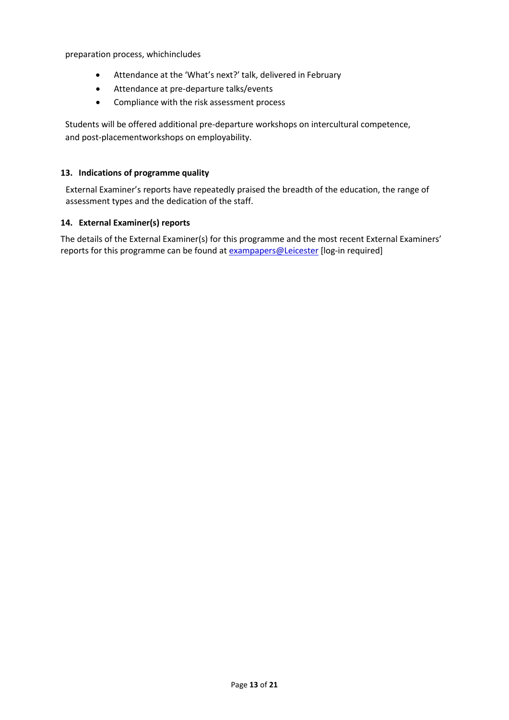preparation process, whichincludes

- Attendance at the 'What's next?' talk, delivered in February
- Attendance at pre-departure talks/events
- Compliance with the risk assessment process

Students will be offered additional pre-departure workshops on intercultural competence, and post-placementworkshops on employability.

### **13. Indications of programme quality**

External Examiner's reports have repeatedly praised the breadth of the education, the range of assessment types and the dedication of the staff.

### **14. External Examiner(s) reports**

The details of the External Examiner(s) for this programme and the most recent External Examiners' reports for this programme can be found at [exampapers@Leicester](https://exampapers.le.ac.uk/) [log-in required]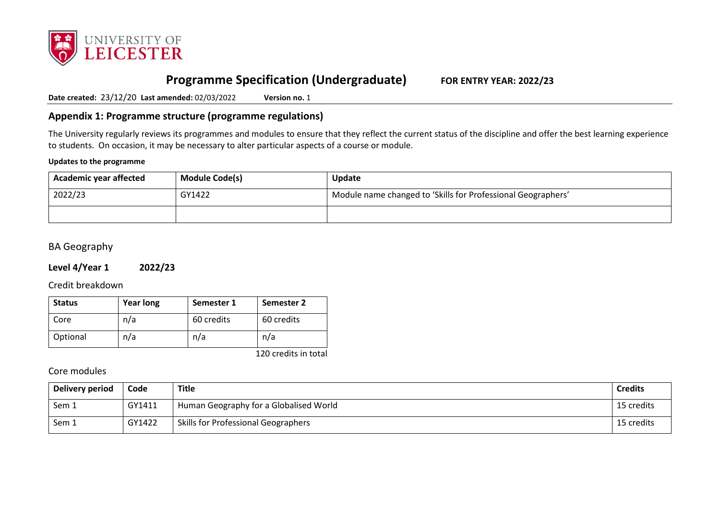

# **Programme Specification (Undergraduate) FOR ENTRY YEAR: 2022/23**

**Date created:** 23/12/20 **Last amended:** 02/03/2022 **Version no.** 1

# **Appendix 1: Programme structure (programme regulations)**

The University regularly reviews its programmes and modules to ensure that they reflect the current status of the discipline and offer the best learning experience to students. On occasion, it may be necessary to alter particular aspects of a course or module.

### **Updates to the programme**

| <b>Module Code(s)</b><br>Academic year affected |  | Update                                                       |
|-------------------------------------------------|--|--------------------------------------------------------------|
| 2022/23<br>GY1422                               |  | Module name changed to 'Skills for Professional Geographers' |
|                                                 |  |                                                              |

# BA Geography

## **Level 4/Year 1 2022/23**

Credit breakdown

| <b>Status</b> | <b>Year long</b> | Semester 1 | Semester 2 |
|---------------|------------------|------------|------------|
| Core          | n/a              | 60 credits | 60 credits |
| Optional      | n/a              | n/a        | n/a        |

120 credits in total

| Delivery period | Code   | <b>Title</b>                               | <b>Credits</b> |
|-----------------|--------|--------------------------------------------|----------------|
| Sem 1           | GY1411 | Human Geography for a Globalised World     | 15 credits     |
| Sem 1           | GY1422 | <b>Skills for Professional Geographers</b> | 15 credits     |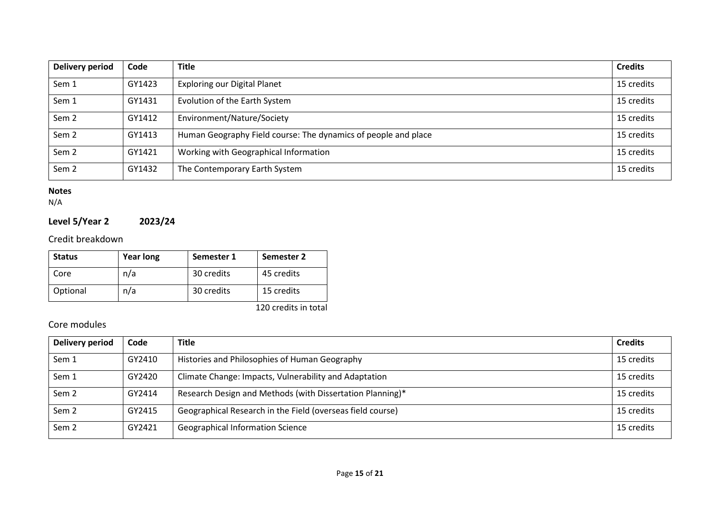| <b>Delivery period</b> | Code   | <b>Title</b>                                                   | <b>Credits</b> |
|------------------------|--------|----------------------------------------------------------------|----------------|
| Sem 1                  | GY1423 | <b>Exploring our Digital Planet</b>                            | 15 credits     |
| Sem 1                  | GY1431 | Evolution of the Earth System                                  | 15 credits     |
| Sem <sub>2</sub>       | GY1412 | Environment/Nature/Society                                     | 15 credits     |
| Sem <sub>2</sub>       | GY1413 | Human Geography Field course: The dynamics of people and place | 15 credits     |
| Sem <sub>2</sub>       | GY1421 | Working with Geographical Information                          | 15 credits     |
| Sem <sub>2</sub>       | GY1432 | The Contemporary Earth System                                  | 15 credits     |

N/A

# **Level 5/Year 2 2023/24**

Credit breakdown

| <b>Status</b> | <b>Year long</b> | Semester 1 | Semester 2 |
|---------------|------------------|------------|------------|
| Core          | n/a              | 30 credits | 45 credits |
| Optional      | n/a              | 30 credits | 15 credits |

120 credits in total

| Delivery period  | Code   | <b>Title</b>                                               | <b>Credits</b> |
|------------------|--------|------------------------------------------------------------|----------------|
| Sem 1            | GY2410 | Histories and Philosophies of Human Geography              | 15 credits     |
| Sem 1            | GY2420 | Climate Change: Impacts, Vulnerability and Adaptation      | 15 credits     |
| Sem <sub>2</sub> | GY2414 | Research Design and Methods (with Dissertation Planning)*  | 15 credits     |
| Sem <sub>2</sub> | GY2415 | Geographical Research in the Field (overseas field course) | 15 credits     |
| Sem <sub>2</sub> | GY2421 | <b>Geographical Information Science</b>                    | 15 credits     |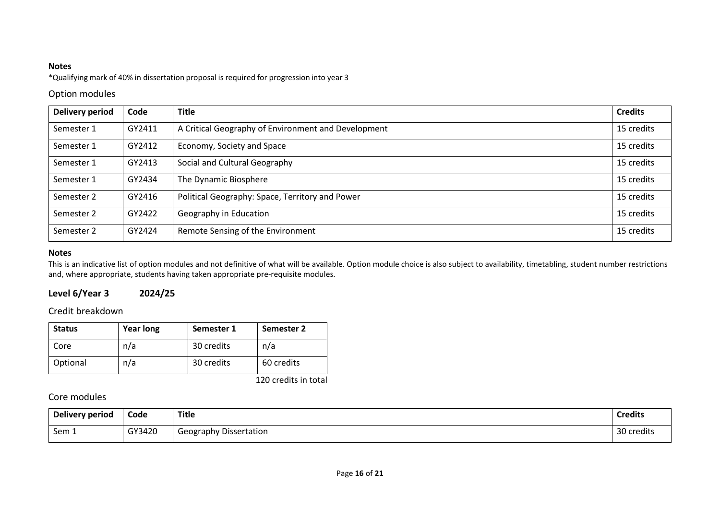\*Qualifying mark of 40% in dissertation proposal is required for progression into year 3

## Option modules

| Delivery period | Code   | <b>Title</b>                                        | <b>Credits</b> |
|-----------------|--------|-----------------------------------------------------|----------------|
| Semester 1      | GY2411 | A Critical Geography of Environment and Development | 15 credits     |
| Semester 1      | GY2412 | Economy, Society and Space                          | 15 credits     |
| Semester 1      | GY2413 | Social and Cultural Geography                       | 15 credits     |
| Semester 1      | GY2434 | The Dynamic Biosphere                               | 15 credits     |
| Semester 2      | GY2416 | Political Geography: Space, Territory and Power     | 15 credits     |
| Semester 2      | GY2422 | Geography in Education                              | 15 credits     |
| Semester 2      | GY2424 | Remote Sensing of the Environment                   | 15 credits     |

### **Notes**

This is an indicative list of option modules and not definitive of what will be available. Option module choice is also subject to availability, timetabling, student number restrictions and, where appropriate, students having taken appropriate pre-requisite modules.

# **Level 6/Year 3 2024/25**

# Credit breakdown

| <b>Status</b> | <b>Year long</b> | Semester 1 | Semester 2 |
|---------------|------------------|------------|------------|
| Core          | n/a              | 30 credits | n/a        |
| Optional      | n/a              | 30 credits | 60 credits |

120 credits in total

| Delivery period | Code   | Title                         | <b>Credits</b> |
|-----------------|--------|-------------------------------|----------------|
| Sem 1           | GY3420 | <b>Geography Dissertation</b> | 30 credits     |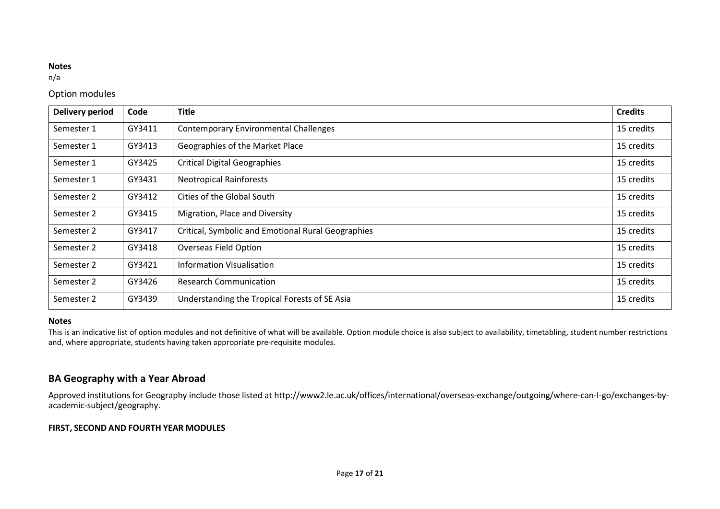n/a

# Option modules

| <b>Delivery period</b> | Code   | <b>Title</b>                                       | <b>Credits</b> |
|------------------------|--------|----------------------------------------------------|----------------|
| Semester 1             | GY3411 | <b>Contemporary Environmental Challenges</b>       | 15 credits     |
| Semester 1             | GY3413 | Geographies of the Market Place                    | 15 credits     |
| Semester 1             | GY3425 | <b>Critical Digital Geographies</b>                | 15 credits     |
| Semester 1             | GY3431 | <b>Neotropical Rainforests</b>                     | 15 credits     |
| Semester 2             | GY3412 | Cities of the Global South                         | 15 credits     |
| Semester 2             | GY3415 | Migration, Place and Diversity                     | 15 credits     |
| Semester 2             | GY3417 | Critical, Symbolic and Emotional Rural Geographies | 15 credits     |
| Semester 2             | GY3418 | <b>Overseas Field Option</b>                       | 15 credits     |
| Semester 2             | GY3421 | <b>Information Visualisation</b>                   | 15 credits     |
| Semester 2             | GY3426 | <b>Research Communication</b>                      | 15 credits     |
| Semester 2             | GY3439 | Understanding the Tropical Forests of SE Asia      | 15 credits     |

#### **Notes**

This is an indicative list of option modules and not definitive of what will be available. Option module choice is also subject to availability, timetabling, student number restrictions and, where appropriate, students having taken appropriate pre-requisite modules.

# **BA Geography with a Year Abroad**

Approved institutions for Geography include those listed at http://www2.le.ac.uk/offices/international/overseas-exchange/outgoing/where-can-I-go/exchanges-byacademic-subject/geography.

### **FIRST, SECOND AND FOURTH YEAR MODULES**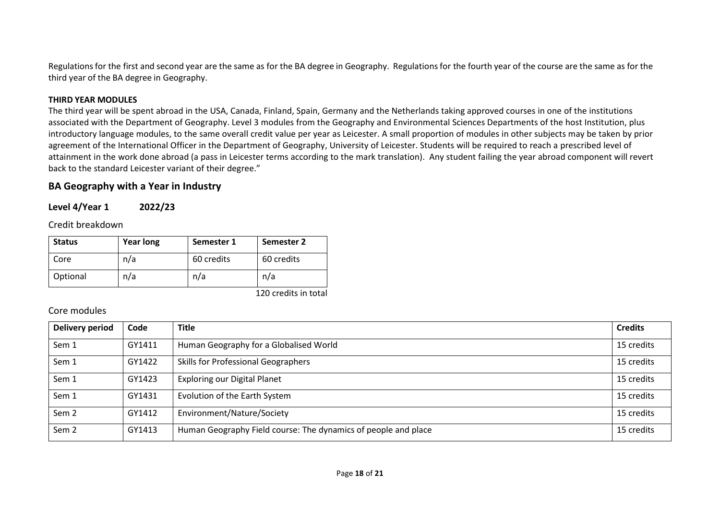Regulations for the first and second year are the same as for the BA degree in Geography. Regulations for the fourth year of the course are the same as for the third year of the BA degree in Geography.

### **THIRD YEAR MODULES**

The third year will be spent abroad in the USA, Canada, Finland, Spain, Germany and the Netherlands taking approved courses in one of the institutions associated with the Department of Geography. Level 3 modules from the Geography and Environmental Sciences Departments of the host Institution, plus introductory language modules, to the same overall credit value per year as Leicester. A small proportion of modules in other subjects may be taken by prior agreement of the International Officer in the Department of Geography, University of Leicester. Students will be required to reach a prescribed level of attainment in the work done abroad (a pass in Leicester terms according to the mark translation). Any student failing the year abroad component will revert back to the standard Leicester variant of their degree."

### **BA Geography with a Year in Industry**

**Level 4/Year 1 2022/23**

Credit breakdown

| <b>Status</b> | <b>Year long</b> | Semester 1 | Semester 2 |
|---------------|------------------|------------|------------|
| Core          | n/a              | 60 credits | 60 credits |
| Optional      | n/a              | n/a        | n/a        |

120 credits in total

| <b>Delivery period</b> | Code   | <b>Title</b>                                                   | <b>Credits</b> |
|------------------------|--------|----------------------------------------------------------------|----------------|
| Sem 1                  | GY1411 | Human Geography for a Globalised World                         | 15 credits     |
| Sem 1                  | GY1422 | Skills for Professional Geographers                            | 15 credits     |
| Sem 1                  | GY1423 | <b>Exploring our Digital Planet</b>                            | 15 credits     |
| Sem 1                  | GY1431 | Evolution of the Earth System                                  | 15 credits     |
| Sem <sub>2</sub>       | GY1412 | Environment/Nature/Society                                     | 15 credits     |
| Sem <sub>2</sub>       | GY1413 | Human Geography Field course: The dynamics of people and place | 15 credits     |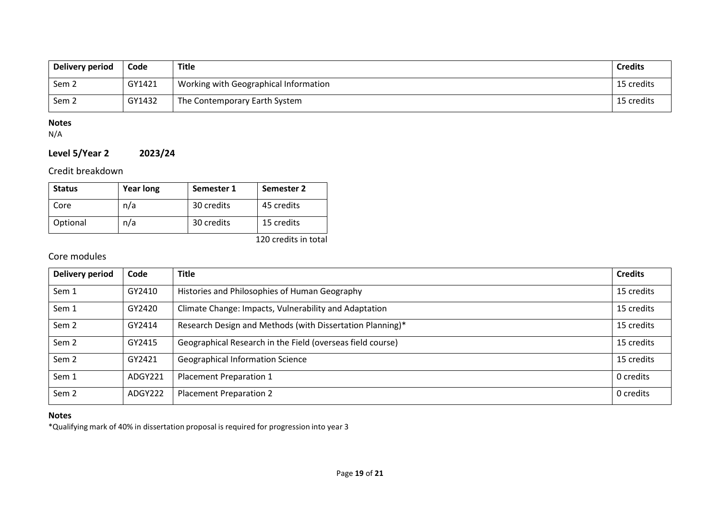| Delivery period  | Code   | <b>Title</b>                          | <b>Credits</b> |
|------------------|--------|---------------------------------------|----------------|
| Sem 2            | GY1421 | Working with Geographical Information | 15 credits     |
| Sem <sub>2</sub> | GY1432 | The Contemporary Earth System         | 15 credits     |

N/A

# **Level 5/Year 2 2023/24**

# Credit breakdown

| <b>Status</b> | <b>Year long</b> | Semester 1 | Semester 2 |
|---------------|------------------|------------|------------|
| Core          | n/a              | 30 credits | 45 credits |
| Optional      | n/a              | 30 credits | 15 credits |

120 credits in total

# Core modules

| Delivery period  | Code    | <b>Title</b>                                               | <b>Credits</b> |
|------------------|---------|------------------------------------------------------------|----------------|
| Sem 1            | GY2410  | Histories and Philosophies of Human Geography              | 15 credits     |
| Sem 1            | GY2420  | Climate Change: Impacts, Vulnerability and Adaptation      | 15 credits     |
| Sem <sub>2</sub> | GY2414  | Research Design and Methods (with Dissertation Planning)*  | 15 credits     |
| Sem <sub>2</sub> | GY2415  | Geographical Research in the Field (overseas field course) | 15 credits     |
| Sem <sub>2</sub> | GY2421  | <b>Geographical Information Science</b>                    | 15 credits     |
| Sem 1            | ADGY221 | <b>Placement Preparation 1</b>                             | 0 credits      |
| Sem <sub>2</sub> | ADGY222 | <b>Placement Preparation 2</b>                             | 0 credits      |

# **Notes**

\*Qualifying mark of 40% in dissertation proposal is required for progression into year 3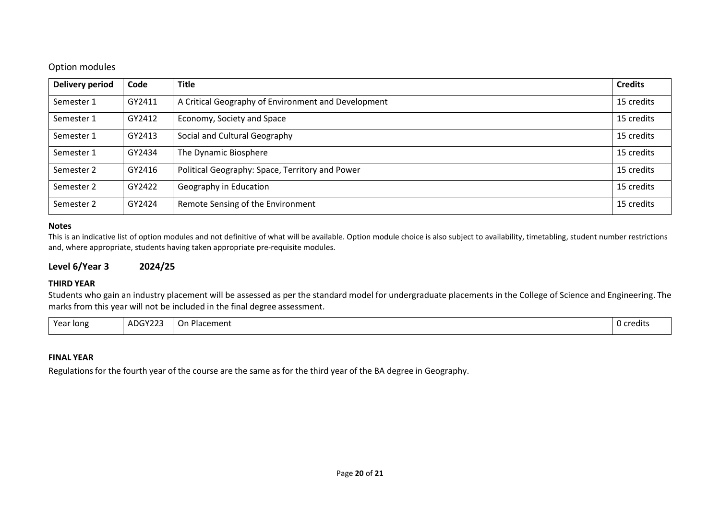## Option modules

| <b>Delivery period</b> | Code   | <b>Title</b>                                        | <b>Credits</b> |
|------------------------|--------|-----------------------------------------------------|----------------|
| Semester 1             | GY2411 | A Critical Geography of Environment and Development | 15 credits     |
| Semester 1             | GY2412 | Economy, Society and Space                          | 15 credits     |
| Semester 1             | GY2413 | Social and Cultural Geography                       | 15 credits     |
| Semester 1             | GY2434 | The Dynamic Biosphere                               | 15 credits     |
| Semester 2             | GY2416 | Political Geography: Space, Territory and Power     | 15 credits     |
| Semester 2             | GY2422 | Geography in Education                              | 15 credits     |
| Semester 2             | GY2424 | Remote Sensing of the Environment                   | 15 credits     |

#### **Notes**

This is an indicative list of option modules and not definitive of what will be available. Option module choice is also subject to availability, timetabling, student number restrictions and, where appropriate, students having taken appropriate pre-requisite modules.

### **Level 6/Year 3 2024/25**

#### **THIRD YEAR**

Students who gain an industry placement will be assessed as per the standard model for undergraduate placements in the College of Science and Engineering. The marks from this year will not be included in the final degree assessment.

| Year long | $\sqrt{2}$<br>$\mathbf{v}$<br>ADG Y<br>. .<br>. | า Placement<br>$\overline{\phantom{0}}$<br>. On | 0 credits |
|-----------|-------------------------------------------------|-------------------------------------------------|-----------|
|           |                                                 |                                                 |           |

#### **FINAL YEAR**

Regulations for the fourth year of the course are the same as for the third year of the BA degree in Geography.